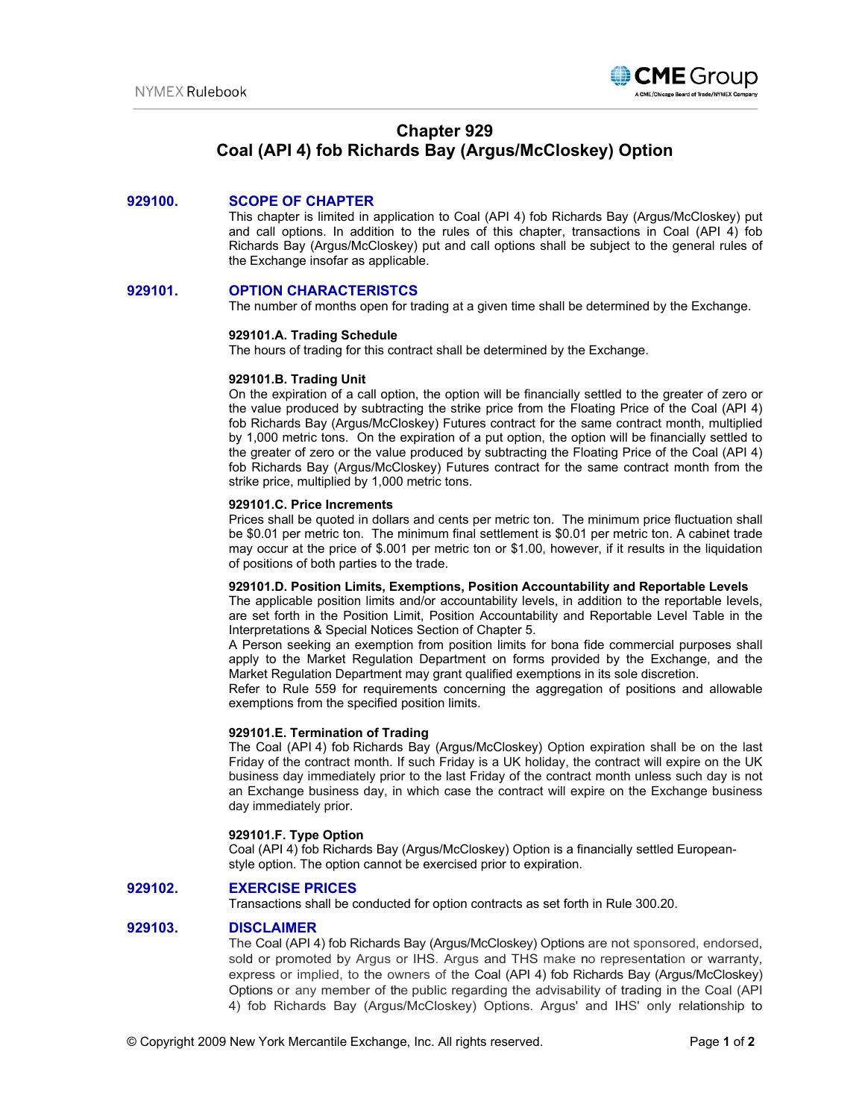

# **Chapter 929**

# **Coal (API 4) fob Richards Bay (Argus/McCloskey) Option**

# **929100. SCOPE OF CHAPTER**

This chapter is limited in application to Coal (API 4) fob Richards Bay (Argus/McCloskey) put and call options. In addition to the rules of this chapter, transactions in Coal (API 4) fob Richards Bay (Argus/McCloskey) put and call options shall be subject to the general rules of the Exchange insofar as applicable.

## **929101. OPTION CHARACTERISTCS**

The number of months open for trading at a given time shall be determined by the Exchange.

#### **929101.A. Trading Schedule**

The hours of trading for this contract shall be determined by the Exchange.

#### **929101.B. Trading Unit**

On the expiration of a call option, the option will be financially settled to the greater of zero or the value produced by subtracting the strike price from the Floating Price of the Coal (API 4) fob Richards Bay (Argus/McCloskey) Futures contract for the same contract month, multiplied by 1,000 metric tons. On the expiration of a put option, the option will be financially settled to the greater of zero or the value produced by subtracting the Floating Price of the Coal (API 4) fob Richards Bay (Argus/McCloskey) Futures contract for the same contract month from the strike price, multiplied by 1,000 metric tons.

#### **929101.C. Price Increments**

Prices shall be quoted in dollars and cents per metric ton. The minimum price fluctuation shall be \$0.01 per metric ton. The minimum final settlement is \$0.01 per metric ton. A cabinet trade may occur at the price of \$.001 per metric ton or \$1.00, however, if it results in the liquidation of positions of both parties to the trade.

#### **929101.D. Position Limits, Exemptions, Position Accountability and Reportable Levels**

The applicable position limits and/or accountability levels, in addition to the reportable levels, are set forth in the Position Limit, Position Accountability and Reportable Level Table in the Interpretations & Special Notices Section of Chapter 5.

A Person seeking an exemption from position limits for bona fide commercial purposes shall apply to the Market Regulation Department on forms provided by the Exchange, and the Market Regulation Department may grant qualified exemptions in its sole discretion.

Refer to Rule 559 for requirements concerning the aggregation of positions and allowable exemptions from the specified position limits.

## **929101.E. Termination of Trading**

The Coal (API 4) fob Richards Bay (Argus/McCloskey) Option expiration shall be on the last Friday of the contract month. If such Friday is a UK holiday, the contract will expire on the UK business day immediately prior to the last Friday of the contract month unless such day is not an Exchange business day, in which case the contract will expire on the Exchange business day immediately prior.

### **929101.F. Type Option**

Coal (API 4) fob Richards Bay (Argus/McCloskey) Option is a financially settled Europeanstyle option. The option cannot be exercised prior to expiration.

## **929102. EXERCISE PRICES**

Transactions shall be conducted for option contracts as set forth in Rule 300.20.

#### **929103. DISCLAIMER**

The Coal (API 4) fob Richards Bay (Argus/McCloskey) Options are not sponsored, endorsed, sold or promoted by Argus or IHS. Argus and THS make no representation or warranty, express or implied, to the owners of the Coal (API 4) fob Richards Bay (Argus/McCloskey) Options or any member of the public regarding the advisability of trading in the Coal (API 4) fob Richards Bay (Argus/McCloskey) Options. Argus' and IHS' only relationship to